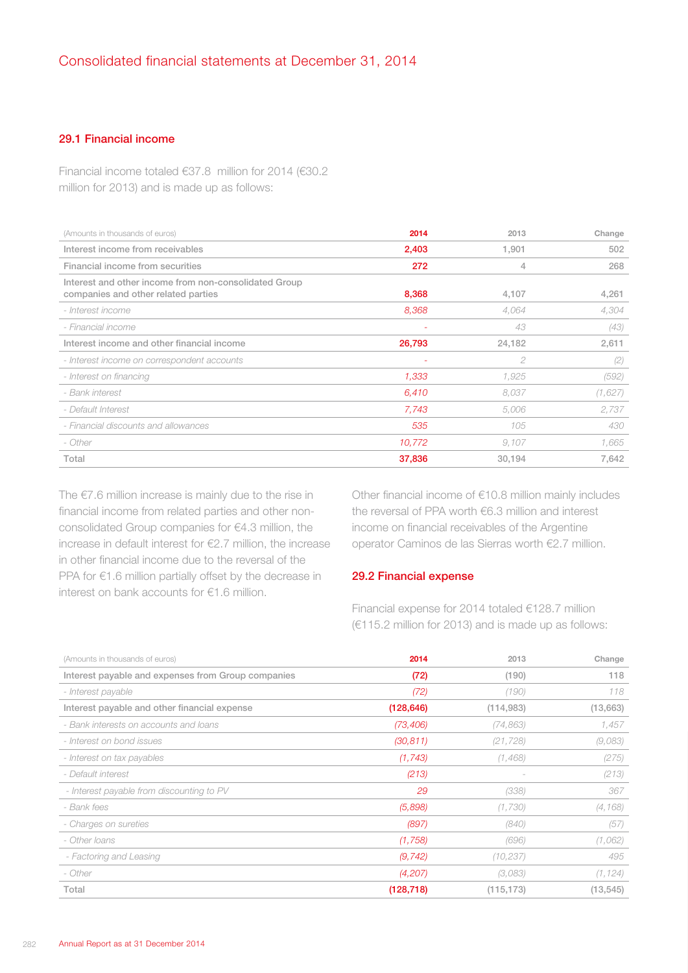## 29.1 Financial income

Financial income totaled €37.8 million for 2014 (€30.2 million for 2013) and is made up as follows:

| (Amounts in thousands of euros)                                                              | 2014   | 2013   | Change  |
|----------------------------------------------------------------------------------------------|--------|--------|---------|
| Interest income from receivables                                                             | 2,403  | 1,901  | 502     |
| Financial income from securities                                                             | 272    | 4      | 268     |
| Interest and other income from non-consolidated Group<br>companies and other related parties | 8,368  | 4,107  | 4,261   |
| - Interest income                                                                            | 8,368  | 4,064  | 4,304   |
| - Financial income                                                                           |        | 43     | (43)    |
| Interest income and other financial income                                                   | 26,793 | 24,182 | 2,611   |
| - Interest income on correspondent accounts                                                  |        | 2      | (2)     |
| - Interest on financing                                                                      | 1,333  | 1,925  | (592)   |
| - Bank interest                                                                              | 6,410  | 8.037  | (1,627) |
| - Default Interest                                                                           | 7,743  | 5,006  | 2,737   |
| - Financial discounts and allowances                                                         | 535    | 105    | 430     |
| - Other                                                                                      | 10,772 | 9,107  | 1,665   |
| Total                                                                                        | 37,836 | 30,194 | 7,642   |

The €7.6 million increase is mainly due to the rise in financial income from related parties and other nonconsolidated Group companies for €4.3 million, the increase in default interest for €2.7 million, the increase in other financial income due to the reversal of the PPA for €1.6 million partially offset by the decrease in interest on bank accounts for €1.6 million.

Other financial income of €10.8 million mainly includes the reversal of PPA worth €6.3 million and interest income on financial receivables of the Argentine operator Caminos de las Sierras worth €2.7 million.

## 29.2 Financial expense

Financial expense for 2014 totaled €128.7 million (€115.2 million for 2013) and is made up as follows:

| (Amounts in thousands of euros)                    | 2014       | 2013       | Change    |
|----------------------------------------------------|------------|------------|-----------|
| Interest payable and expenses from Group companies | (72)       | (190)      | 118       |
| - Interest payable                                 | (72)       | (190)      | 118       |
| Interest payable and other financial expense       | (128, 646) | (114,983)  | (13,663)  |
| - Bank interests on accounts and loans             | (73, 406)  | (74, 863)  | 1,457     |
| - Interest on bond issues                          | (30, 811)  | (21, 728)  | (9,083)   |
| - Interest on tax payables                         | (1, 743)   | (1,468)    | (275)     |
| - Default interest                                 | (213)      |            | (213)     |
| - Interest payable from discounting to PV          | 29         | (338)      | 367       |
| - Bank fees                                        | (5,898)    | (1,730)    | (4, 168)  |
| - Charges on sureties                              | (897)      | (840)      | (57)      |
| - Other Ioans                                      | (1,758)    | (696)      | (1,062)   |
| - Factoring and Leasing                            | (9, 742)   | (10, 237)  | 495       |
| - Other                                            | (4,207)    | (3,083)    | (1, 124)  |
| Total                                              | (128, 718) | (115, 173) | (13, 545) |